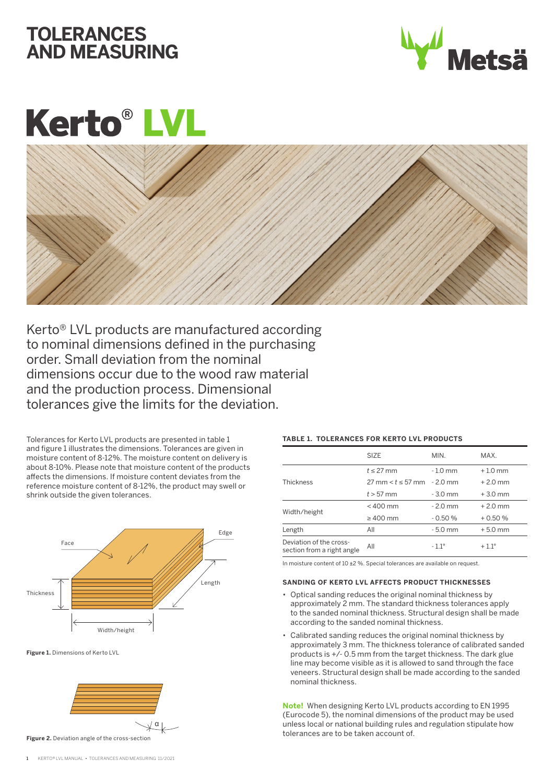## **TOLERANCES AND MEASURING**



# **Kerto®L**



Kerto® LVL products are manufactured according to nominal dimensions defined in the purchasing order. Small deviation from the nominal dimensions occur due to the wood raw material and the production process. Dimensional tolerances give the limits for the deviation.

Tolerances for Kerto LVL products are presented in table 1 and figure 1 illustrates the dimensions. Tolerances are given in moisture content of 8-12%. The moisture content on delivery is about 8-10%. Please note that moisture content of the products affects the dimensions. If moisture content deviates from the reference moisture content of 8-12%, the product may swell or shrink outside the given tolerances.



**Figure 1.** Dimensions of Kerto LVL



#### **TABLE 1. TOLERANCES FOR KERTO LVL PRODUCTS**

|                                                       | <b>SIZE</b>                                     | MIN.           | MAX.           |
|-------------------------------------------------------|-------------------------------------------------|----------------|----------------|
| <b>Thickness</b>                                      | $t \leq 27$ mm                                  | $-1.0$ mm      | $+1.0$ mm      |
|                                                       | $27 \text{ mm} < t \leq 57 \text{ mm}$ - 2.0 mm |                | $+2.0$ mm      |
|                                                       | $t > 57$ mm                                     | $-3.0$ mm      | $+3.0$ mm      |
| Width/height                                          | $< 400$ mm                                      | $-2.0$ mm      | $+2.0$ mm      |
|                                                       | $\geq 400$ mm                                   | $-0.50%$       | $+0.50%$       |
| Length                                                | All                                             | $-5.0$ mm      | $+5.0$ mm      |
| Deviation of the cross-<br>section from a right angle | All                                             | $-1.1^{\circ}$ | $+1.1^{\circ}$ |

In moisture content of 10 ±2 %. Special tolerances are available on request.

#### **SANDING OF KERTO LVL AFFECTS PRODUCT THICKNESSES**

- Optical sanding reduces the original nominal thickness by approximately 2 mm. The standard thickness tolerances apply to the sanded nominal thickness. Structural design shall be made according to the sanded nominal thickness.
- Calibrated sanding reduces the original nominal thickness by approximately 3 mm. The thickness tolerance of calibrated sanded products is +/- 0.5 mm from the target thickness. The dark glue line may become visible as it is allowed to sand through the face veneers. Structural design shall be made according to the sanded nominal thickness.

**Note!** When designing Kerto LVL products according to EN 1995 (Eurocode 5), the nominal dimensions of the product may be used unless local or national building rules and regulation stipulate how tolerances are to be taken account of.